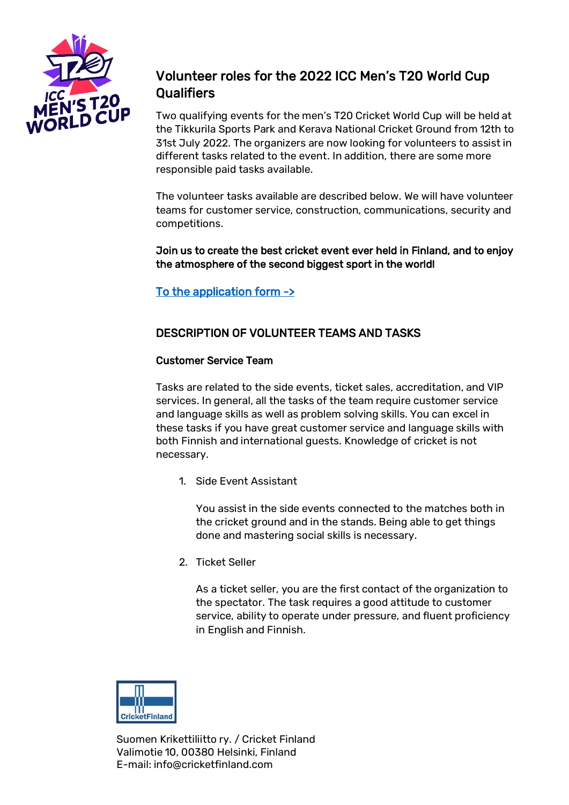

# Volunteer roles for the 2022 ICC Men's T20 World Cup **Qualifiers**

Two qualifying events for the men's T20 Cricket World Cup will be held at the Tikkurila Sports Park and Kerava National Cricket Ground from 12th to 31st July 2022. The organizers are now looking for volunteers to assist in different tasks related to the event. In addition, there are some more responsible paid tasks available.

The volunteer tasks available are described below. We will have volunteer teams for customer service, construction, communications, security and competitions.

Join us to create the best cricket event ever held in Finland, and to enjoy the atmosphere of the second biggest sport in the world!

## To the application form ->

### DESCRIPTION OF VOLUNTEER TEAMS AND TASKS

#### Customer Service Team

Tasks are related to the side events, ticket sales, accreditation, and VIP services. In general, all the tasks of the team require customer service and language skills as well as problem solving skills. You can excel in these tasks if you have great customer service and language skills with both Finnish and international guests. Knowledge of cricket is not necessary.

1. Side Event Assistant

You assist in the side events connected to the matches both in the cricket ground and in the stands. Being able to get things done and mastering social skills is necessary.

2. Ticket Seller

As a ticket seller, you are the first contact of the organization to the spectator. The task requires a good attitude to customer service, ability to operate under pressure, and fluent proficiency in English and Finnish.

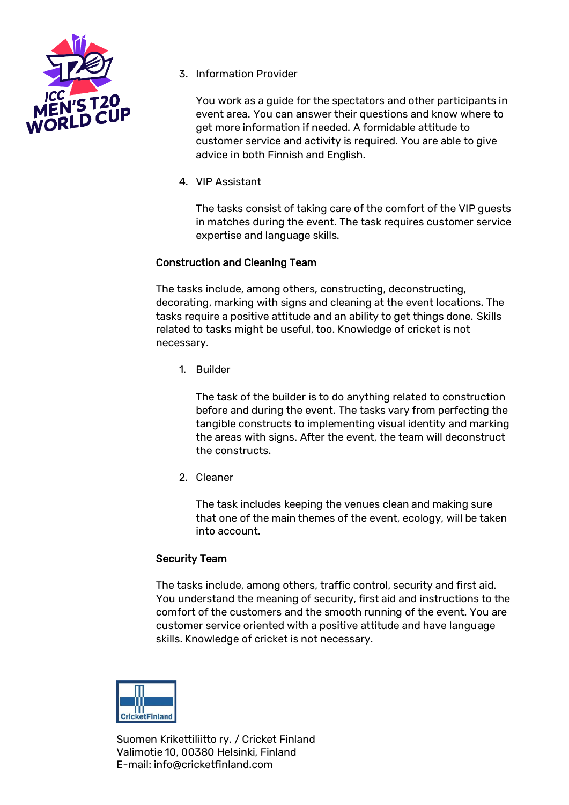

3. Information Provider

You work as a guide for the spectators and other participants in event area. You can answer their questions and know where to get more information if needed. A formidable attitude to customer service and activity is required. You are able to give advice in both Finnish and English.

4. VIP Assistant

The tasks consist of taking care of the comfort of the VIP guests in matches during the event. The task requires customer service expertise and language skills.

### Construction and Cleaning Team

The tasks include, among others, constructing, deconstructing, decorating, marking with signs and cleaning at the event locations. The tasks require a positive attitude and an ability to get things done. Skills related to tasks might be useful, too. Knowledge of cricket is not necessary.

1. Builder

The task of the builder is to do anything related to construction before and during the event. The tasks vary from perfecting the tangible constructs to implementing visual identity and marking the areas with signs. After the event, the team will deconstruct the constructs.

2. Cleaner

The task includes keeping the venues clean and making sure that one of the main themes of the event, ecology, will be taken into account.

#### Security Team

The tasks include, among others, traffic control, security and first aid. You understand the meaning of security, first aid and instructions to the comfort of the customers and the smooth running of the event. You are customer service oriented with a positive attitude and have language skills. Knowledge of cricket is not necessary.

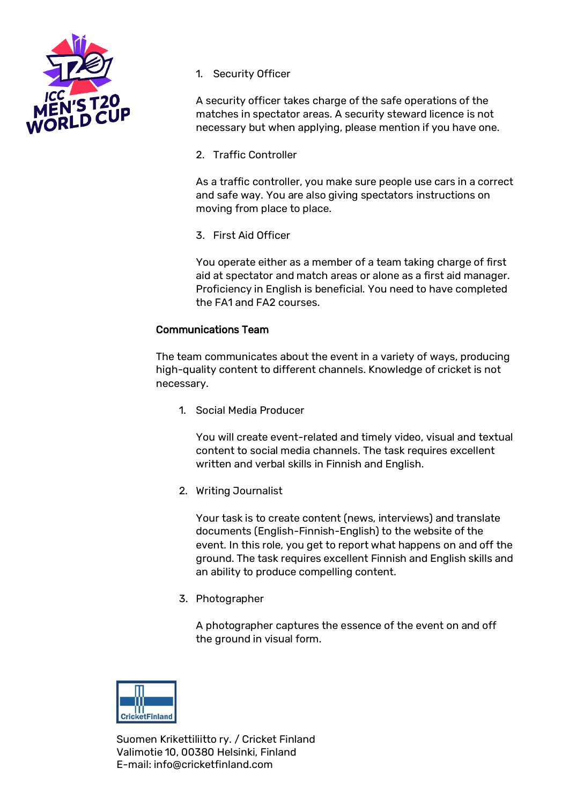

1. Security Officer

A security officer takes charge of the safe operations of the matches in spectator areas. A security steward licence is not necessary but when applying, please mention if you have one.

2. Traffic Controller

As a traffic controller, you make sure people use cars in a correct and safe way. You are also giving spectators instructions on moving from place to place.

3. First Aid Officer

You operate either as a member of a team taking charge of first aid at spectator and match areas or alone as a first aid manager. Proficiency in English is beneficial. You need to have completed the FA1 and FA2 courses.

#### Communications Team

The team communicates about the event in a variety of ways, producing high-quality content to different channels. Knowledge of cricket is not necessary.

1. Social Media Producer

You will create event-related and timely video, visual and textual content to social media channels. The task requires excellent written and verbal skills in Finnish and English.

2. Writing Journalist

Your task is to create content (news, interviews) and translate documents (English-Finnish-English) to the website of the event. In this role, you get to report what happens on and off the ground. The task requires excellent Finnish and English skills and an ability to produce compelling content.

3. Photographer

A photographer captures the essence of the event on and off the ground in visual form.

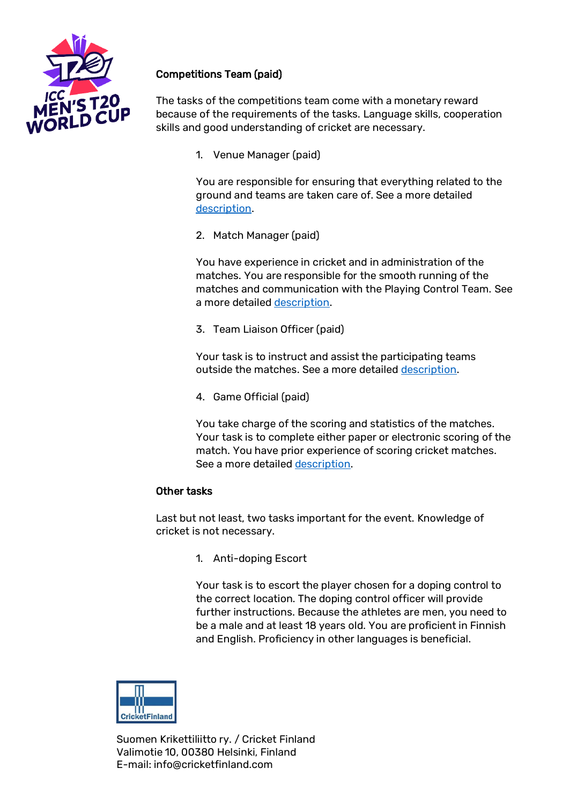

# Competitions Team (paid)

The tasks of the competitions team come with a monetary reward because of the requirements of the tasks. Language skills, cooperation skills and good understanding of cricket are necessary.

1. Venue Manager (paid)

You are responsible for ensuring that everything related to the ground and teams are taken care of. See a more detailed [description.](https://kriketti.fi/wp-content/uploads/2022/03/ICC_CF-World-T20-Europe-Qualifier2022-Venue-Manager-JD.pdf)

2. Match Manager (paid)

You have experience in cricket and in administration of the matches. You are responsible for the smooth running of the matches and communication with the Playing Control Team. See a more detailed [description.](https://kriketti.fi/wp-content/uploads/2022/03/ICC_CF-World-T20-Europe-Qualifier2022-Match-Manager-Umpire-Liaison-JD.pdf)

3. Team Liaison Officer (paid)

Your task is to instruct and assist the participating teams outside the matches. See a more detailed [description.](https://kriketti.fi/wp-content/uploads/2022/03/ICC_CF-World-T20-Europe-Qualifier2022-Team-Liaison-Officer.pdf)

4. Game Official (paid)

You take charge of the scoring and statistics of the matches. Your task is to complete either paper or electronic scoring of the match. You have prior experience of scoring cricket matches. See a more detaile[d description.](https://kriketti.fi/wp-content/uploads/2022/03/ICC_CF-World-T20-Europe-Qualifier2022-Scorers.pdf)

#### Other tasks

Last but not least, two tasks important for the event. Knowledge of cricket is not necessary.

1. Anti-doping Escort

Your task is to escort the player chosen for a doping control to the correct location. The doping control officer will provide further instructions. Because the athletes are men, you need to be a male and at least 18 years old. You are proficient in Finnish and English. Proficiency in other languages is beneficial.